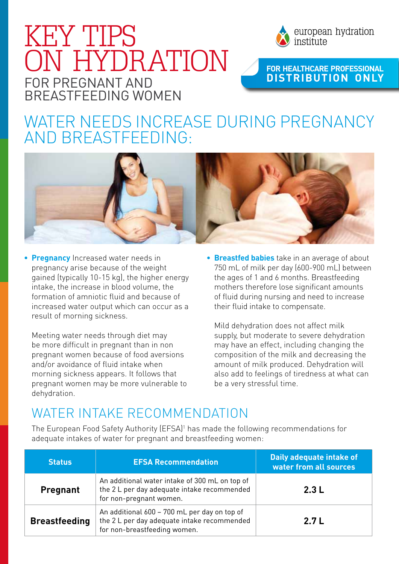## for PrEgnant and breastfeeding women KEY TIPS ON HYDRATION



#### **For HeaLthcare Professional d istr ibut ion only**

### WATER NEEDS INCREASE DURING PREGNANCY and breastfeeding:



**Pregnancy** Increased water needs in pregnancy arise because of the weight gained (typically 10-15 kg), the higher energy intake, the increase in blood volume, the formation of amniotic fluid and because of increased water output which can occur as a result of morning sickness.

Meeting water needs through diet may be more difficult in pregnant than in non pregnant women because of food aversions and/or avoidance of fluid intake when morning sickness appears. It follows that pregnant women may be more vulnerable to dehydration.

**• Breastfed babies** take in an average of about 750 mL of milk per day (600-900 mL) between the ages of 1 and 6 months. Breastfeeding mothers therefore lose significant amounts of fluid during nursing and need to increase their fluid intake to compensate.

Mild dehydration does not affect milk supply, but moderate to severe dehydration may have an effect, including changing the composition of the milk and decreasing the amount of milk produced. Dehydration will also add to feelings of tiredness at what can be a very stressful time.

#### WATER INTAKE RECOMMENDATION

The European Food Safety Authority (EFSA) 1 has made the following recommendations for adequate intakes of water for pregnant and breastfeeding women:

| <b>Status</b>        | <b>EFSA Recommendation</b>                                                                                                  | Daily adequate intake of<br>water from all sources |
|----------------------|-----------------------------------------------------------------------------------------------------------------------------|----------------------------------------------------|
| <b>Pregnant</b>      | An additional water intake of 300 mL on top of<br>the 2 L per day adequate intake recommended<br>for non-pregnant women.    | 2.3L                                               |
| <b>Breastfeeding</b> | An additional 600 - 700 mL per day on top of<br>the 2 L per day adequate intake recommended<br>for non-breastfeeding women. | 2.7L                                               |